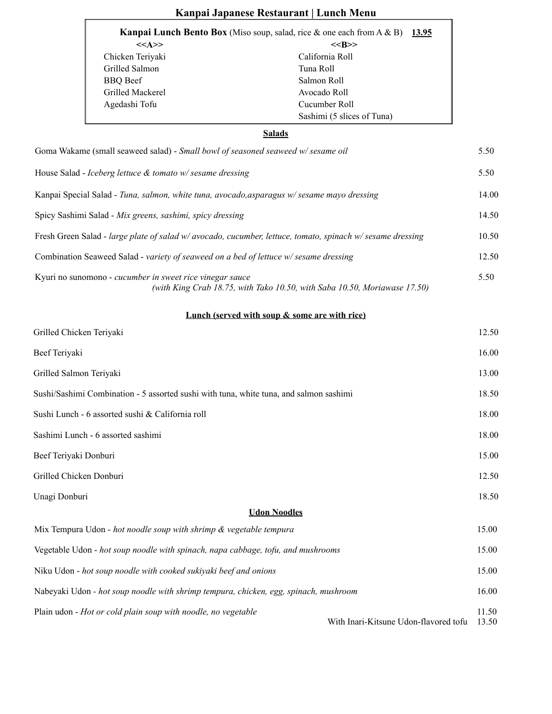|                                                                                                            |                                                                                                        | Kanpai Japanese Restaurant   Lunch Menu                                                                                |  |  |
|------------------------------------------------------------------------------------------------------------|--------------------------------------------------------------------------------------------------------|------------------------------------------------------------------------------------------------------------------------|--|--|
|                                                                                                            | <b>Kanpai Lunch Bento Box</b> (Miso soup, salad, rice $\&$ one each from A $\&$ B)<br><u>13.95</u>     |                                                                                                                        |  |  |
|                                                                                                            | $<<$ A>><br>Chicken Teriyaki<br>Grilled Salmon<br><b>BBQ</b> Beef<br>Grilled Mackerel<br>Agedashi Tofu | $<<$ B>><br>California Roll<br>Tuna Roll<br>Salmon Roll<br>Avocado Roll<br>Cucumber Roll<br>Sashimi (5 slices of Tuna) |  |  |
|                                                                                                            |                                                                                                        | <b>Salads</b>                                                                                                          |  |  |
|                                                                                                            | Goma Wakame (small seaweed salad) - Small bowl of seasoned seaweed w/sesame oil                        |                                                                                                                        |  |  |
|                                                                                                            | House Salad - Iceberg lettuce $\&$ tomato w/sesame dressing                                            |                                                                                                                        |  |  |
|                                                                                                            |                                                                                                        | Kanpai Special Salad - Tuna, salmon, white tuna, avocado, asparagus w/sesame mayo dressing                             |  |  |
|                                                                                                            | Spicy Sashimi Salad - Mix greens, sashimi, spicy dressing                                              |                                                                                                                        |  |  |
| Fresh Green Salad - large plate of salad w/ avocado, cucumber, lettuce, tomato, spinach w/ sesame dressing |                                                                                                        |                                                                                                                        |  |  |
| Combination Seaweed Salad - variety of seaweed on a bed of lettuce w/sesame dressing                       |                                                                                                        |                                                                                                                        |  |  |
|                                                                                                            | Kyuri no sunomono - cucumber in sweet rice vinegar sauce                                               | (with King Crab 18.75, with Tako 10.50, with Saba 10.50, Moriawase 17.50)                                              |  |  |
|                                                                                                            |                                                                                                        | Lunch (served with soup & some are with rice)                                                                          |  |  |
| Grilled Chicken Teriyaki                                                                                   |                                                                                                        |                                                                                                                        |  |  |
| Beef Teriyaki                                                                                              |                                                                                                        |                                                                                                                        |  |  |
| Grilled Salmon Teriyaki                                                                                    |                                                                                                        |                                                                                                                        |  |  |
|                                                                                                            | Sushi/Sashimi Combination - 5 assorted sushi with tuna, white tuna, and salmon sashimi                 |                                                                                                                        |  |  |
| Sushi Lunch - 6 assorted sushi & California roll                                                           |                                                                                                        |                                                                                                                        |  |  |
| Sashimi Lunch - 6 assorted sashimi                                                                         |                                                                                                        |                                                                                                                        |  |  |
| Beef Teriyaki Donburi                                                                                      |                                                                                                        |                                                                                                                        |  |  |
| Grilled Chicken Donburi                                                                                    |                                                                                                        |                                                                                                                        |  |  |
| Unagi Donburi                                                                                              |                                                                                                        |                                                                                                                        |  |  |
|                                                                                                            |                                                                                                        | <b>Udon Noodles</b>                                                                                                    |  |  |
|                                                                                                            | Mix Tempura Udon - hot noodle soup with shrimp & vegetable tempura                                     |                                                                                                                        |  |  |
| Vegetable Udon - hot soup noodle with spinach, napa cabbage, tofu, and mushrooms                           |                                                                                                        |                                                                                                                        |  |  |
| Niku Udon - hot soup noodle with cooked sukiyaki beef and onions                                           |                                                                                                        |                                                                                                                        |  |  |

Nabeyaki Udon *- hot soup noodle with shrimp tempura, chicken, egg, spinach, mushroom* 16.00

Plain udon - *Hot or cold plain soup with noodle, no vegetable*

With Inari-Kitsune Udon-flavored tofu 13.50

11.50